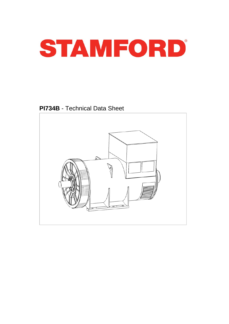

**PI734B** - Technical Data Sheet

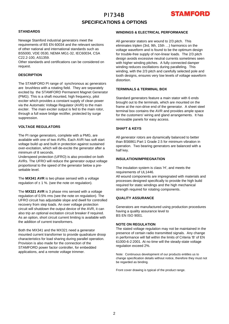# PI734B **SPECIFICATIONS & OPTIONS**



### **STANDARDS**

Newage Stamford industrial generators meet the requirements of BS EN 60034 and the relevant sections of other national and international standards such as BS5000, VDE 0530, NEMA MG1-32, IEC60034, CSA C22.2-100, AS1359.

Other standards and certifications can be considered on request.

### **DESCRIPTION**

The STAMFORD PI range of synchronous ac generators are brushless with a rotating field. They are separately excited by the STAMFORD Permanent Magnet Generator (PMG). This is a shaft mounted, high frequency, pilot exciter which provides a constant supply of clean power via the Automatic Voltage Regulator (AVR) to the main exciter. The main exciter output is fed to the main rotor, through a full wave bridge rectifier, protected by surge suppression.

### **VOLTAGE REGULATORS**

The PI range generators, complete with a PMG, are available with one of two AVRs. Each AVR has soft start voltage build up and built in protection against sustained over-excitation, which will de-excite the generator after a minimum of 8 seconds.

Underspeed protection (UFRO) is also provided on both AVRs. The UFRO will reduce the generator output voltage proportional to the speed of the generator below a presettable level.

The **MX341 AVR** is two phase sensed with a voltage regulation of  $\pm$  1 %. (see the note on regulation).

The **MX321 AVR** is 3 phase rms sensed with a voltage regulation of 0.5% rms (see the note on regulation). The UFRO circuit has adjustable slope and dwell for controlled recovery from step loads. An over voltage protection circuit will shutdown the output device of the AVR, it can also trip an optional excitation circuit breaker if required. As an option, short circuit current limiting is available with the addition of current transformers.

Both the MX341 and the MX321 need a generator mounted current transformer to provide quadrature droop characteristics for load sharing during parallel operation. Provision is also made for the connection of the STAMFORD power factor controller, for embedded applications, and a remote voltage trimmer.

### **WINDINGS & ELECTRICAL PERFORMANCE**

All generator stators are wound to 2/3 pitch. This eliminates triplen (3rd, 9th, 15th …) harmonics on the voltage waveform and is found to be the optimum design for trouble-free supply of non-linear loads. The 2/3 pitch design avoids excessive neutral currents sometimes seen with higher winding pitches. A fully connected damper winding reduces oscillations during paralleling. This winding, with the 2/3 pitch and carefully selected pole and tooth designs, ensures very low levels of voltage waveform distortion.

#### **TERMINALS & TERMINAL BOX**

Standard generators feature a main stator with 6 ends brought out to the terminals, which are mounted on the frame at the non-drive end of the generator. A sheet steel terminal box contains the AVR and provides ample space for the customers' wiring and gland arrangements. It has removable panels for easy access.

### **SHAFT & KEYS**

All generator rotors are dynamically balanced to better than BS6861:Part 1 Grade 2.5 for minimum vibration in operation. Two bearing generators are balanced with a half key.

### **INSULATION/IMPREGNATION**

The insulation system is class 'H', and meets the requirements of UL1446.

All wound components are impregnated with materials and processes designed specifically to provide the high build required for static windings and the high mechanical strength required for rotating components.

### **QUALITY ASSURANCE**

Generators are manufactured using production procedures having a quality assurance level to BS EN ISO 9001.

### **NOTE ON REGULATION**

The stated voltage regulation may not be maintained in the presence of certain radio transmitted signals. Any change in performance will fall within the limits of Criteria 'B' of EN 61000-6-2:2001. At no time will the steady-state voltage regulation exceed 2%.

Note: Continuous development of our products entitles us to change specification details without notice, therefore they must not be regarded as binding.

Front cover drawing is typical of the product range.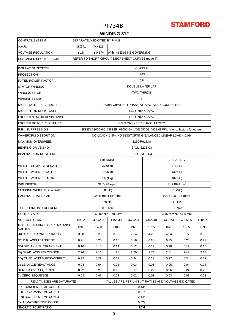# **STAMFORD**

# PI734B

### **WINDING 312**

| <b>CONTROL SYSTEM</b>                                   | SEPARATELY EXCITED BY P.M.G.                        |                                                                                      |                                                  |                            |                                   |           |         |         |  |  |  |  |  |
|---------------------------------------------------------|-----------------------------------------------------|--------------------------------------------------------------------------------------|--------------------------------------------------|----------------------------|-----------------------------------|-----------|---------|---------|--|--|--|--|--|
| A.V.R.                                                  | MX341                                               | MX321                                                                                |                                                  |                            |                                   |           |         |         |  |  |  |  |  |
| <b>VOLTAGE REGULATION</b>                               | ± 1%                                                | ± 0.5 %                                                                              | With 4% ENGINE GOVERNING                         |                            |                                   |           |         |         |  |  |  |  |  |
| <b>SUSTAINED SHORT CIRCUIT</b>                          |                                                     |                                                                                      | REFER TO SHORT CIRCUIT DECREMENT CURVES (page 7) |                            |                                   |           |         |         |  |  |  |  |  |
| <b>INSULATION SYSTEM</b>                                |                                                     |                                                                                      |                                                  | <b>CLASS H</b>             |                                   |           |         |         |  |  |  |  |  |
| <b>PROTECTION</b>                                       |                                                     | IP23                                                                                 |                                                  |                            |                                   |           |         |         |  |  |  |  |  |
| RATED POWER FACTOR                                      | 0.8                                                 |                                                                                      |                                                  |                            |                                   |           |         |         |  |  |  |  |  |
| <b>STATOR WINDING</b>                                   |                                                     | DOUBLE LAYER LAP                                                                     |                                                  |                            |                                   |           |         |         |  |  |  |  |  |
| <b>WINDING PITCH</b>                                    | <b>TWO THIRDS</b>                                   |                                                                                      |                                                  |                            |                                   |           |         |         |  |  |  |  |  |
| <b>WINDING LEADS</b>                                    | 6                                                   |                                                                                      |                                                  |                            |                                   |           |         |         |  |  |  |  |  |
| <b>MAIN STATOR RESISTANCE</b>                           | 0.0016 Ohms PER PHASE AT 22°C STAR CONNECTED        |                                                                                      |                                                  |                            |                                   |           |         |         |  |  |  |  |  |
| <b>MAIN ROTOR RESISTANCE</b>                            |                                                     | 1.67 Ohms at 22°C                                                                    |                                                  |                            |                                   |           |         |         |  |  |  |  |  |
| <b>EXCITER STATOR RESISTANCE</b>                        |                                                     |                                                                                      |                                                  | 17.5 Ohms at 22°C          |                                   |           |         |         |  |  |  |  |  |
| <b>EXCITER ROTOR RESISTANCE</b>                         |                                                     | 0.063 Ohms PER PHASE AT 22°C                                                         |                                                  |                            |                                   |           |         |         |  |  |  |  |  |
| R.F.I. SUPPRESSION                                      |                                                     | BS EN 61000-6-2 & BS EN 61000-6-4, VDE 0875G, VDE 0875N. refer to factory for others |                                                  |                            |                                   |           |         |         |  |  |  |  |  |
| <b>WAVEFORM DISTORTION</b>                              |                                                     | NO LOAD < 1.5% NON-DISTORTING BALANCED LINEAR LOAD < 5.0%                            |                                                  |                            |                                   |           |         |         |  |  |  |  |  |
| <b>MAXIMUM OVERSPEED</b>                                |                                                     | 2250 Rev/Min                                                                         |                                                  |                            |                                   |           |         |         |  |  |  |  |  |
| <b>BEARING DRIVE END</b>                                |                                                     | BALL. 6228 C3                                                                        |                                                  |                            |                                   |           |         |         |  |  |  |  |  |
| BEARING NON-DRIVE END                                   |                                                     |                                                                                      |                                                  | BALL. 6319 C3              |                                   |           |         |         |  |  |  |  |  |
|                                                         |                                                     |                                                                                      | 1 BEARING                                        |                            |                                   | 2 BEARING |         |         |  |  |  |  |  |
| <b>WEIGHT COMP. GENERATOR</b>                           |                                                     |                                                                                      | 2760 kg                                          |                            | 2710 kg                           |           |         |         |  |  |  |  |  |
| <b>WEIGHT WOUND STATOR</b>                              |                                                     |                                                                                      | 1306 kg                                          |                            | 1306 kg                           |           |         |         |  |  |  |  |  |
| <b>WEIGHT WOUND ROTOR</b>                               |                                                     |                                                                                      | 1139 kg                                          |                            | 1077 kg                           |           |         |         |  |  |  |  |  |
| <b>WR<sup>2</sup> INERTIA</b>                           |                                                     |                                                                                      | 32.7498 kgm <sup>2</sup>                         |                            | 31.7489 kgm <sup>2</sup>          |           |         |         |  |  |  |  |  |
| SHIPPING WEIGHTS in a crate                             |                                                     |                                                                                      | 2833kg                                           |                            | 2779 <sub>kg</sub>                |           |         |         |  |  |  |  |  |
| PACKING CRATE SIZE                                      |                                                     |                                                                                      | 194 x 105 x 154(cm)                              |                            | 194 x 105 x 154(cm)               |           |         |         |  |  |  |  |  |
|                                                         |                                                     |                                                                                      | 60 Hz                                            |                            |                                   |           |         |         |  |  |  |  |  |
| TELEPHONE INTERFERENCE                                  |                                                     |                                                                                      | <b>THF&lt;2%</b>                                 |                            | TIF <sub>50</sub>                 |           |         |         |  |  |  |  |  |
| <b>COOLING AIR</b>                                      |                                                     |                                                                                      | 2.69 m <sup>3</sup> /sec 5700 cfm                |                            | 3.45 m <sup>3</sup> /sec 7300 cfm |           |         |         |  |  |  |  |  |
| <b>VOLTAGE STAR</b>                                     | 380/220                                             | 400/231                                                                              | 415/240                                          | 440/254                    | 416/240                           | 440/254   | 460/266 | 480/277 |  |  |  |  |  |
| <b>kVA BASE RATING FOR REACTANCE</b><br><b>VALUES</b>   | 1360                                                | 1400                                                                                 | 1400                                             | 1375                       | 1525                              | 1625      | 1655    | 1690    |  |  |  |  |  |
| Xd DIR. AXIS SYNCHRONOUS                                | 3.50                                                | 3.26                                                                                 | 3.02                                             | 2.64                       | 4.25                              | 4.04      | 3.77    | 3.53    |  |  |  |  |  |
| X'd DIR. AXIS TRANSIENT                                 | 0.21                                                | 0.20                                                                                 | 0.18                                             | 0.16                       | 0.26                              | 0.25      | 0.23    | 0.22    |  |  |  |  |  |
| X"d DIR. AXIS SUBTRANSIENT                              | 0.16                                                | 0.15                                                                                 | 0.14                                             | 0.12                       | 0.19                              | 0.18      | 0.17    | 0.16    |  |  |  |  |  |
| Xq QUAD. AXIS REACTANCE                                 | 2.26                                                | 2.10                                                                                 | 1.95                                             | 1.70                       | 2.74                              | 2.61      | 2.43    | 2.28    |  |  |  |  |  |
| X"a QUAD, AXIS SUBTRANSIENT                             | 0.32                                                | 0.29                                                                                 | 0.27                                             | 0.24                       | 0.38                              | 0.37      | 0.34    | 0.32    |  |  |  |  |  |
| XL LEAKAGE REACTANCE                                    | 0.04                                                | 0.04                                                                                 | 0.03                                             | 0.03                       | 0.05                              | 0.05      | 0.04    | 0.04    |  |  |  |  |  |
| X <sub>2</sub> NEGATIVE SEQUENCE                        | 0.22                                                | 0.21                                                                                 | 0.19                                             | 0.17                       | 0.27                              | 0.26      | 0.24    | 0.23    |  |  |  |  |  |
| X <sub>0</sub> ZERO SEQUENCE                            | 0.03                                                | 0.03                                                                                 | 0.02                                             | 0.02                       | 0.03                              | 0.03      | 0.03    | 0.03    |  |  |  |  |  |
| REACTANCES ARE SATURATED                                | VALUES ARE PER UNIT AT RATING AND VOLTAGE INDICATED |                                                                                      |                                                  |                            |                                   |           |         |         |  |  |  |  |  |
| T'd TRANSIENT TIME CONST.                               | 0.13s                                               |                                                                                      |                                                  |                            |                                   |           |         |         |  |  |  |  |  |
| T"d SUB-TRANSTIME CONST.<br>T'do O.C. FIELD TIME CONST. |                                                     |                                                                                      |                                                  | 0.01 <sub>S</sub><br>2.14s |                                   |           |         |         |  |  |  |  |  |
| Ta ARMATURE TIME CONST.                                 |                                                     |                                                                                      |                                                  | 0.02s                      |                                   |           |         |         |  |  |  |  |  |
| <b>SHORT CIRCUIT RATIO</b>                              | 1/Xd                                                |                                                                                      |                                                  |                            |                                   |           |         |         |  |  |  |  |  |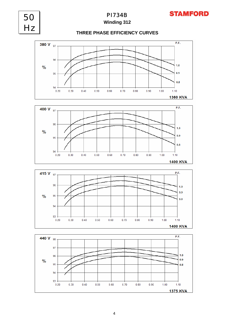

50

Hz

## **Winding 312**

## **THREE PHASE EFFICIENCY CURVES**







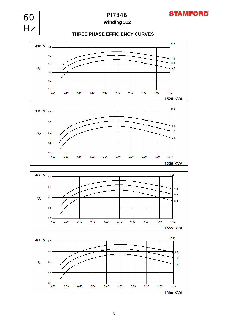



 $0.8$ 

 $1.10$ **1690 KVA** 

60 Hz

95

94

93

 $0.20$ 

 $0.30$ 

 $\frac{0}{0}$ 

 $0.70$ 

 $0.80$ 

 $0.90$ 

 $1.00$ 

 $0.60$ 

 $0.50$ 

 $0.40$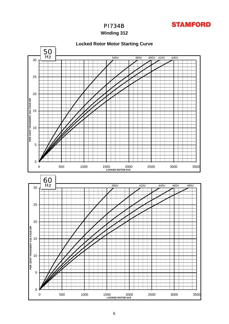

**Winding 312**

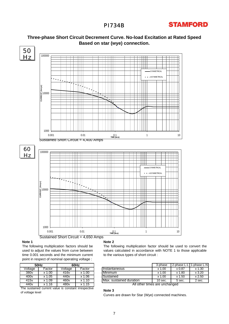



## **Three-phase Short Circuit Decrement Curve. No-load Excitation at Rated Speed Based on star (wye) connection.**

### **Note 1**

The following multiplication factors should be used to adjust the values from curve between time 0.001 seconds and the minimum current point in respect of nominal operating voltage :

|                  | 50Hz     | 60Hz             |                |  |  |  |  |  |
|------------------|----------|------------------|----------------|--|--|--|--|--|
| Voltage          | Factor   | Voltage          | Factor         |  |  |  |  |  |
| 380 <sub>v</sub> | $x$ 1.00 | 416 <sub>v</sub> | $x$ 1.00       |  |  |  |  |  |
| 400v             | x 1.05   | 440v             | $x\sqrt{1.06}$ |  |  |  |  |  |
| 415v             | $x$ 1.09 | 460v             | $x\,1.10$      |  |  |  |  |  |
| 440 <sub>v</sub> | x 1.16   | 480v             | x 1.15         |  |  |  |  |  |

The sustained current value is constant irrespective of voltage level

#### **Note 2**

The following multiplication factor should be used to convert the values calculated in accordance with NOTE 1 to those applicable to the various types of short circuit :

|                      | 50Hz            |                      | 60Hz                 |                         | 3-phase    | 2-phase L-L | 1-phase L-N   |
|----------------------|-----------------|----------------------|----------------------|-------------------------|------------|-------------|---------------|
| Voltage              | Factor          | Voltage              | Factor               | Ilnstantaneous          | .00<br>x 1 | x 0.87      | x 1.30        |
| 380 <sub>V</sub>     | .00<br><b>X</b> | 416v                 | .00<br>Y             | Minimum                 | .00<br>x · | x 1.80      | $\times$ 3.20 |
| 400v                 | .05<br>x 1      | $\overline{440}$ v   | .06<br>Y             | Sustained               | .00<br>x 1 | x 1.50      | x 2.50        |
| 415v                 | .09<br>x ʻ      | $\overline{460}$ v   | 1.10<br>x 1          | Max. sustained duration | $10$ sec.  | 5 sec.      | 2 sec.        |
| $\sim$ $\sim$ $\sim$ | .               | $\sim$ $\sim$ $\sim$ | $\sim$ $\sim$ $\sim$ | $\overline{\cdots}$     |            |             |               |

All other times are unchanged

#### **Note 3**

Curves are drawn for Star (Wye) connected machines.